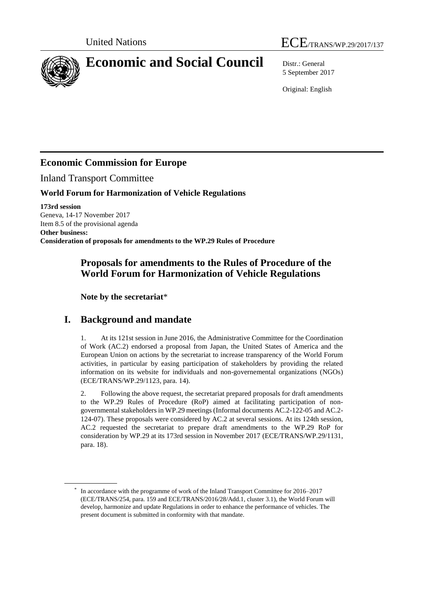

# **Economic and Social Council** Distr.: General

5 September 2017

Original: English

## **Economic Commission for Europe**

Inland Transport Committee

### **World Forum for Harmonization of Vehicle Regulations**

**173rd session** Geneva, 14-17 November 2017 Item 8.5 of the provisional agenda **Other business: Consideration of proposals for amendments to the WP.29 Rules of Procedure**

### **Proposals for amendments to the Rules of Procedure of the World Forum for Harmonization of Vehicle Regulations**

**Note by the secretariat**\*

## **I. Background and mandate**

1. At its 121st session in June 2016, the Administrative Committee for the Coordination of Work (AC.2) endorsed a proposal from Japan, the United States of America and the European Union on actions by the secretariat to increase transparency of the World Forum activities, in particular by easing participation of stakeholders by providing the related information on its website for individuals and non-governemental organizations (NGOs) (ECE/TRANS/WP.29/1123, para. 14).

2. Following the above request, the secretariat prepared proposals for draft amendments to the WP.29 Rules of Procedure (RoP) aimed at facilitating participation of nongovernmental stakeholders in WP.29 meetings (Informal documents AC.2-122-05 and AC.2- 124-07). These proposals were considered by AC.2 at several sessions. At its 124th session, AC.2 requested the secretariat to prepare draft amendments to the WP.29 RoP for consideration by WP.29 at its 173rd session in November 2017 (ECE/TRANS/WP.29/1131, para. 18).

<sup>\*</sup> In accordance with the programme of work of the Inland Transport Committee for 2016–2017 (ECE/TRANS/254, para. 159 and ECE/TRANS/2016/28/Add.1, cluster 3.1), the World Forum will develop, harmonize and update Regulations in order to enhance the performance of vehicles. The present document is submitted in conformity with that mandate.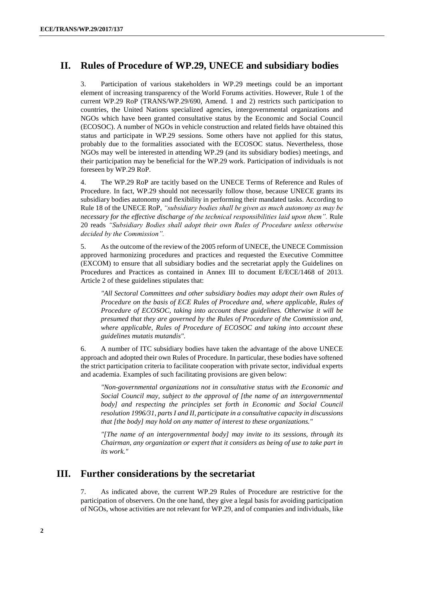### **II. Rules of Procedure of WP.29, UNECE and subsidiary bodies**

3. Participation of various stakeholders in WP.29 meetings could be an important element of increasing transparency of the World Forums activities. However, Rule 1 of the current WP.29 RoP (TRANS/WP.29/690, Amend. 1 and 2) restricts such participation to countries, the United Nations specialized agencies, intergovernmental organizations and NGOs which have been granted consultative status by the Economic and Social Council (ECOSOC). A number of NGOs in vehicle construction and related fields have obtained this status and participate in WP.29 sessions. Some others have not applied for this status, probably due to the formalities associated with the ECOSOC status. Nevertheless, those NGOs may well be interested in attending WP.29 (and its subsidiary bodies) meetings, and their participation may be beneficial for the WP.29 work. Participation of individuals is not foreseen by WP.29 RoP.

4. The WP.29 RoP are tacitly based on the UNECE Terms of Reference and Rules of Procedure. In fact, WP.29 should not necessarily follow those, because UNECE grants its subsidiary bodies autonomy and flexibility in performing their mandated tasks. According to Rule 18 of the UNECE RoP, *"subsidiary bodies shall be given as much autonomy as may be necessary for the effective discharge of the technical responsibilities laid upon them".* Rule 20 reads *"Subsidiary Bodies shall adopt their own Rules of Procedure unless otherwise decided by the Commission".* 

5. As the outcome of the review of the 2005 reform of UNECE, the UNECE Commission approved harmonizing procedures and practices and requested the Executive Committee (EXCOM) to ensure that all subsidiary bodies and the secretariat apply the Guidelines on Procedures and Practices as contained in Annex III to document E/ECE/1468 of 2013. Article 2 of these guidelines stipulates that:

*"All Sectoral Committees and other subsidiary bodies may adopt their own Rules of Procedure on the basis of ECE Rules of Procedure and, where applicable, Rules of Procedure of ECOSOC, taking into account these guidelines. Otherwise it will be presumed that they are governed by the Rules of Procedure of the Commission and, where applicable, Rules of Procedure of ECOSOC and taking into account these guidelines mutatis mutandis".*

6. A number of ITC subsidiary bodies have taken the advantage of the above UNECE approach and adopted their own Rules of Procedure. In particular, these bodies have softened the strict participation criteria to facilitate cooperation with private sector, individual experts and academia. Examples of such facilitating provisions are given below:

*"Non-governmental organizations not in consultative status with the Economic and Social Council may, subject to the approval of [the name of an intergovernmental body]* and respecting the principles set forth in Economic and Social Council *resolution 1996/31, parts I and II, participate in a consultative capacity in discussions that [the body] may hold on any matter of interest to these organizations."*

*"[The name of an intergovernmental body] may invite to its sessions, through its Chairman, any organization or expert that it considers as being of use to take part in its work."*

### **III. Further considerations by the secretariat**

7. As indicated above, the current WP.29 Rules of Procedure are restrictive for the participation of observers. On the one hand, they give a legal basis for avoiding participation of NGOs, whose activities are not relevant for WP.29, and of companies and individuals, like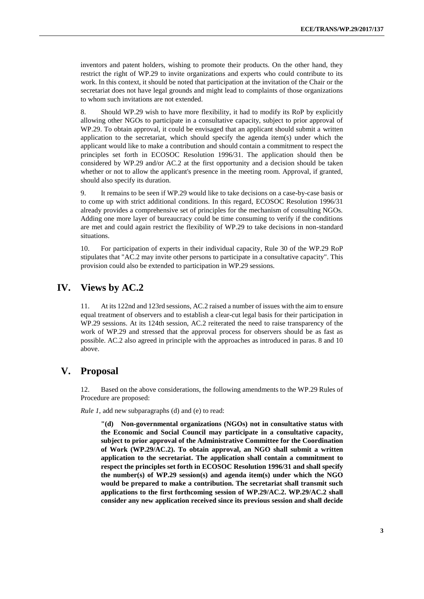inventors and patent holders, wishing to promote their products. On the other hand, they restrict the right of WP.29 to invite organizations and experts who could contribute to its work. In this context, it should be noted that participation at the invitation of the Chair or the secretariat does not have legal grounds and might lead to complaints of those organizations to whom such invitations are not extended.

8. Should WP.29 wish to have more flexibility, it had to modify its RoP by explicitly allowing other NGOs to participate in a consultative capacity, subject to prior approval of WP.29. To obtain approval, it could be envisaged that an applicant should submit a written application to the secretariat, which should specify the agenda item(s) under which the applicant would like to make a contribution and should contain a commitment to respect the principles set forth in ECOSOC Resolution 1996/31. The application should then be considered by WP.29 and/or AC.2 at the first opportunity and a decision should be taken whether or not to allow the applicant's presence in the meeting room. Approval, if granted, should also specify its duration.

9. It remains to be seen if WP.29 would like to take decisions on a case-by-case basis or to come up with strict additional conditions. In this regard, ECOSOC Resolution 1996/31 already provides a comprehensive set of principles for the mechanism of consulting NGOs. Adding one more layer of bureaucracy could be time consuming to verify if the conditions are met and could again restrict the flexibility of WP.29 to take decisions in non-standard situations.

10. For participation of experts in their individual capacity, Rule 30 of the WP.29 RoP stipulates that "AC.2 may invite other persons to participate in a consultative capacity". This provision could also be extended to participation in WP.29 sessions.

### **IV. Views by AC.2**

11. At its 122nd and 123rd sessions, AC.2 raised a number of issues with the aim to ensure equal treatment of observers and to establish a clear-cut legal basis for their participation in WP.29 sessions. At its 124th session, AC.2 reiterated the need to raise transparency of the work of WP.29 and stressed that the approval process for observers should be as fast as possible. AC.2 also agreed in principle with the approaches as introduced in paras. 8 and 10 above.

### **V. Proposal**

12. Based on the above considerations, the following amendments to the WP.29 Rules of Procedure are proposed:

*Rule 1*, add new subparagraphs (d) and (e) to read:

**"(d) Non-governmental organizations (NGOs) not in consultative status with the Economic and Social Council may participate in a consultative capacity, subject to prior approval of the Administrative Committee for the Coordination of Work (WP.29/AC.2). To obtain approval, an NGO shall submit a written application to the secretariat. The application shall contain a commitment to respect the principles set forth in ECOSOC Resolution 1996/31 and shall specify the number(s) of WP.29 session(s) and agenda item(s) under which the NGO would be prepared to make a contribution. The secretariat shall transmit such applications to the first forthcoming session of WP.29/AC.2. WP.29/AC.2 shall consider any new application received since its previous session and shall decide**